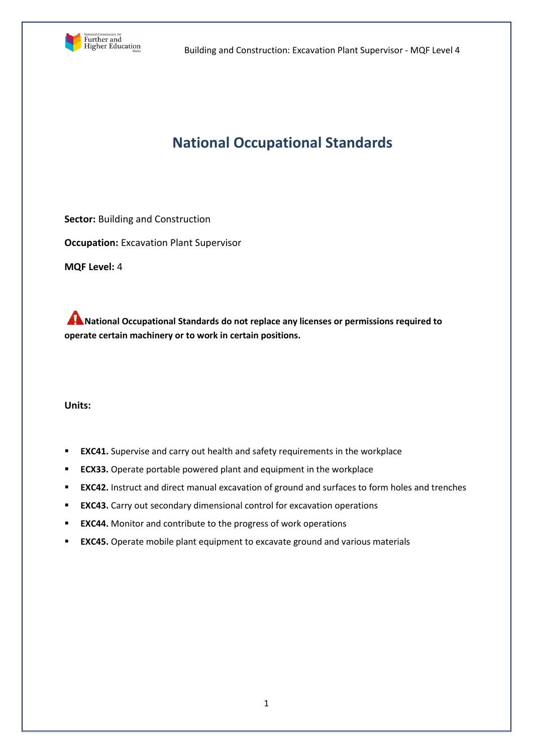

# **National Occupational Standards**

**Sector:** Building and Construction **Occupation:** Excavation Plant Supervisor **MQF Level:** 4

**ANational Occupational Standards do not replace any licenses or permissions required to operate certain machinery or to work in certain positions.**

## **Units:**

- **EXC41.** Supervise and carry out health and safety requirements in the workplace
- **ECX33.** Operate portable powered plant and equipment in the workplace
- **EXC42.** Instruct and direct manual excavation of ground and surfaces to form holes and trenches
- **EXC43.** Carry out secondary dimensional control for excavation operations
- **EXC44.** Monitor and contribute to the progress of work operations
- **EXC45.** Operate mobile plant equipment to excavate ground and various materials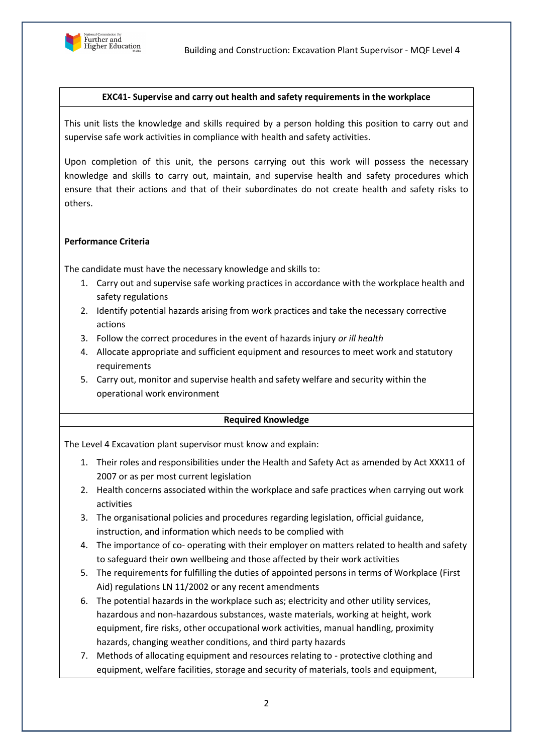

#### **EXC41- Supervise and carry out health and safety requirements in the workplace**

This unit lists the knowledge and skills required by a person holding this position to carry out and supervise safe work activities in compliance with health and safety activities.

Upon completion of this unit, the persons carrying out this work will possess the necessary knowledge and skills to carry out, maintain, and supervise health and safety procedures which ensure that their actions and that of their subordinates do not create health and safety risks to others.

#### **Performance Criteria**

The candidate must have the necessary knowledge and skills to:

- 1. Carry out and supervise safe working practices in accordance with the workplace health and safety regulations
- 2. Identify potential hazards arising from work practices and take the necessary corrective actions
- 3. Follow the correct procedures in the event of hazards injury *or ill health*
- 4. Allocate appropriate and sufficient equipment and resources to meet work and statutory requirements
- 5. Carry out, monitor and supervise health and safety welfare and security within the operational work environment

#### **Required Knowledge**

- 1. Their roles and responsibilities under the Health and Safety Act as amended by Act XXX11 of 2007 or as per most current legislation
- 2. Health concerns associated within the workplace and safe practices when carrying out work activities
- 3. The organisational policies and procedures regarding legislation, official guidance, instruction, and information which needs to be complied with
- 4. The importance of co- operating with their employer on matters related to health and safety to safeguard their own wellbeing and those affected by their work activities
- 5. The requirements for fulfilling the duties of appointed persons in terms of Workplace (First Aid) regulations LN 11/2002 or any recent amendments
- 6. The potential hazards in the workplace such as; electricity and other utility services, hazardous and non-hazardous substances, waste materials, working at height, work equipment, fire risks, other occupational work activities, manual handling, proximity hazards, changing weather conditions, and third party hazards
- 7. Methods of allocating equipment and resources relating to protective clothing and equipment, welfare facilities, storage and security of materials, tools and equipment,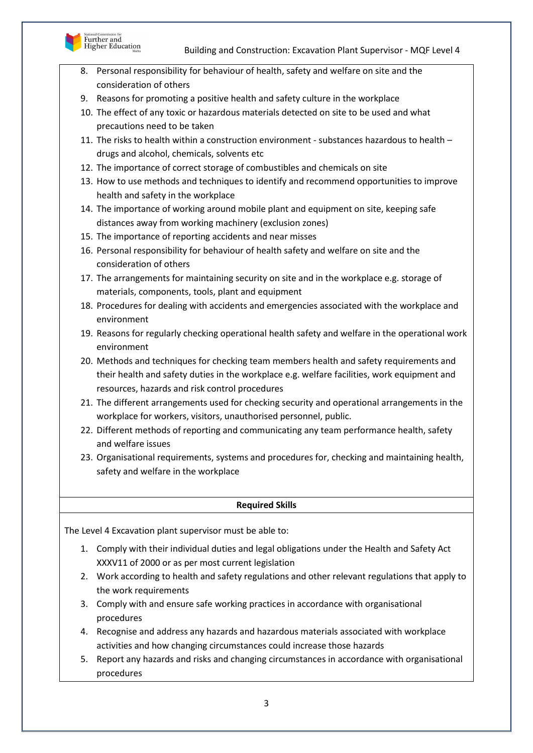

- 8. Personal responsibility for behaviour of health, safety and welfare on site and the consideration of others
- 9. Reasons for promoting a positive health and safety culture in the workplace
- 10. The effect of any toxic or hazardous materials detected on site to be used and what precautions need to be taken
- 11. The risks to health within a construction environment substances hazardous to health drugs and alcohol, chemicals, solvents etc
- 12. The importance of correct storage of combustibles and chemicals on site
- 13. How to use methods and techniques to identify and recommend opportunities to improve health and safety in the workplace
- 14. The importance of working around mobile plant and equipment on site, keeping safe distances away from working machinery (exclusion zones)
- 15. The importance of reporting accidents and near misses
- 16. Personal responsibility for behaviour of health safety and welfare on site and the consideration of others
- 17. The arrangements for maintaining security on site and in the workplace e.g. storage of materials, components, tools, plant and equipment
- 18. Procedures for dealing with accidents and emergencies associated with the workplace and environment
- 19. Reasons for regularly checking operational health safety and welfare in the operational work environment
- 20. Methods and techniques for checking team members health and safety requirements and their health and safety duties in the workplace e.g. welfare facilities, work equipment and resources, hazards and risk control procedures
- 21. The different arrangements used for checking security and operational arrangements in the workplace for workers, visitors, unauthorised personnel, public.
- 22. Different methods of reporting and communicating any team performance health, safety and welfare issues
- 23. Organisational requirements, systems and procedures for, checking and maintaining health, safety and welfare in the workplace

## **Required Skills**

- 1. Comply with their individual duties and legal obligations under the Health and Safety Act XXXV11 of 2000 or as per most current legislation
- 2. Work according to health and safety regulations and other relevant regulations that apply to the work requirements
- 3. Comply with and ensure safe working practices in accordance with organisational procedures
- 4. Recognise and address any hazards and hazardous materials associated with workplace activities and how changing circumstances could increase those hazards
- 5. Report any hazards and risks and changing circumstances in accordance with organisational procedures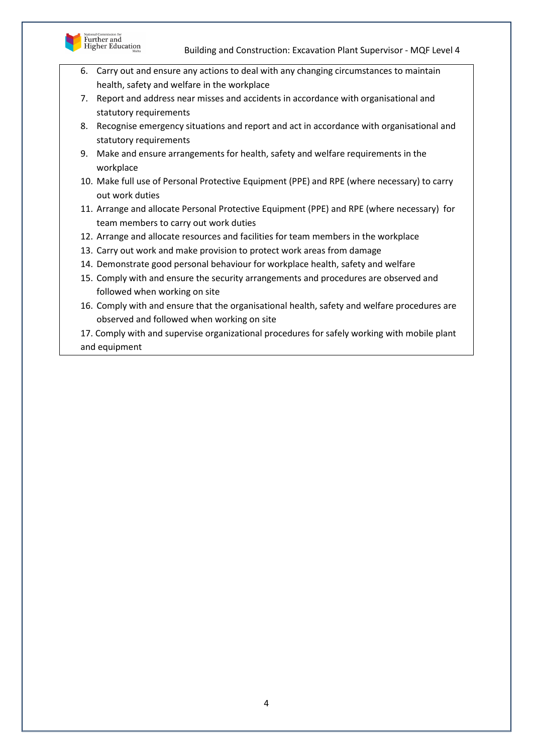

- 6. Carry out and ensure any actions to deal with any changing circumstances to maintain health, safety and welfare in the workplace
- 7. Report and address near misses and accidents in accordance with organisational and statutory requirements
- 8. Recognise emergency situations and report and act in accordance with organisational and statutory requirements
- 9. Make and ensure arrangements for health, safety and welfare requirements in the workplace
- 10. Make full use of Personal Protective Equipment (PPE) and RPE (where necessary) to carry out work duties
- 11. Arrange and allocate Personal Protective Equipment (PPE) and RPE (where necessary) for team members to carry out work duties
- 12. Arrange and allocate resources and facilities for team members in the workplace
- 13. Carry out work and make provision to protect work areas from damage
- 14. Demonstrate good personal behaviour for workplace health, safety and welfare
- 15. Comply with and ensure the security arrangements and procedures are observed and followed when working on site
- 16. Comply with and ensure that the organisational health, safety and welfare procedures are observed and followed when working on site
- 17. Comply with and supervise organizational procedures for safely working with mobile plant and equipment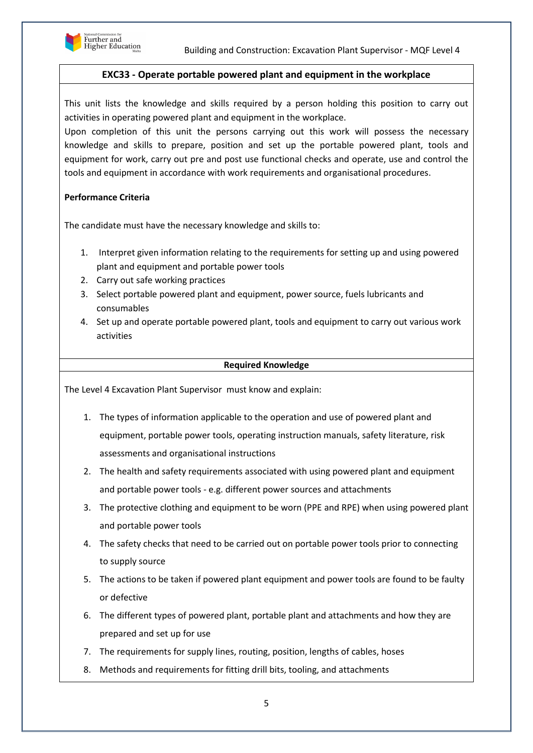

# **EXC33 - Operate portable powered plant and equipment in the workplace**

This unit lists the knowledge and skills required by a person holding this position to carry out activities in operating powered plant and equipment in the workplace.

Upon completion of this unit the persons carrying out this work will possess the necessary knowledge and skills to prepare, position and set up the portable powered plant, tools and equipment for work, carry out pre and post use functional checks and operate, use and control the tools and equipment in accordance with work requirements and organisational procedures.

# **Performance Criteria**

The candidate must have the necessary knowledge and skills to:

- 1. Interpret given information relating to the requirements for setting up and using powered plant and equipment and portable power tools
- 2. Carry out safe working practices
- 3. Select portable powered plant and equipment, power source, fuels lubricants and consumables
- 4. Set up and operate portable powered plant, tools and equipment to carry out various work activities

## **Required Knowledge**

- 1. The types of information applicable to the operation and use of powered plant and equipment, portable power tools, operating instruction manuals, safety literature, risk assessments and organisational instructions
- 2. The health and safety requirements associated with using powered plant and equipment and portable power tools - e.g. different power sources and attachments
- 3. The protective clothing and equipment to be worn (PPE and RPE) when using powered plant and portable power tools
- 4. The safety checks that need to be carried out on portable power tools prior to connecting to supply source
- 5. The actions to be taken if powered plant equipment and power tools are found to be faulty or defective
- 6. The different types of powered plant, portable plant and attachments and how they are prepared and set up for use
- 7. The requirements for supply lines, routing, position, lengths of cables, hoses
- 8. Methods and requirements for fitting drill bits, tooling, and attachments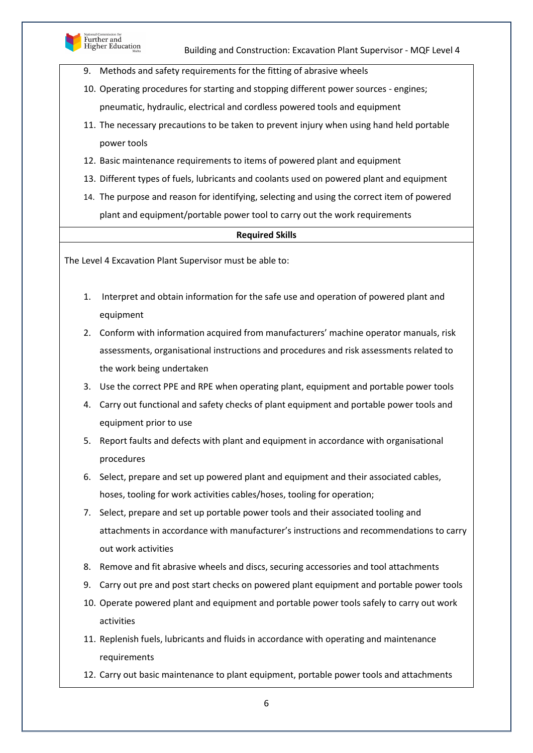

- 9. Methods and safety requirements for the fitting of abrasive wheels
- 10. Operating procedures for starting and stopping different power sources engines; pneumatic, hydraulic, electrical and cordless powered tools and equipment
- 11. The necessary precautions to be taken to prevent injury when using hand held portable power tools
- 12. Basic maintenance requirements to items of powered plant and equipment
- 13. Different types of fuels, lubricants and coolants used on powered plant and equipment
- 14. The purpose and reason for identifying, selecting and using the correct item of powered plant and equipment/portable power tool to carry out the work requirements

#### **Required Skills**

- 1. Interpret and obtain information for the safe use and operation of powered plant and equipment
- 2. Conform with information acquired from manufacturers' machine operator manuals, risk assessments, organisational instructions and procedures and risk assessments related to the work being undertaken
- 3. Use the correct PPE and RPE when operating plant, equipment and portable power tools
- 4. Carry out functional and safety checks of plant equipment and portable power tools and equipment prior to use
- 5. Report faults and defects with plant and equipment in accordance with organisational procedures
- 6. Select, prepare and set up powered plant and equipment and their associated cables, hoses, tooling for work activities cables/hoses, tooling for operation;
- 7. Select, prepare and set up portable power tools and their associated tooling and attachments in accordance with manufacturer's instructions and recommendations to carry out work activities
- 8. Remove and fit abrasive wheels and discs, securing accessories and tool attachments
- 9. Carry out pre and post start checks on powered plant equipment and portable power tools
- 10. Operate powered plant and equipment and portable power tools safely to carry out work activities
- 11. Replenish fuels, lubricants and fluids in accordance with operating and maintenance requirements
- 12. Carry out basic maintenance to plant equipment, portable power tools and attachments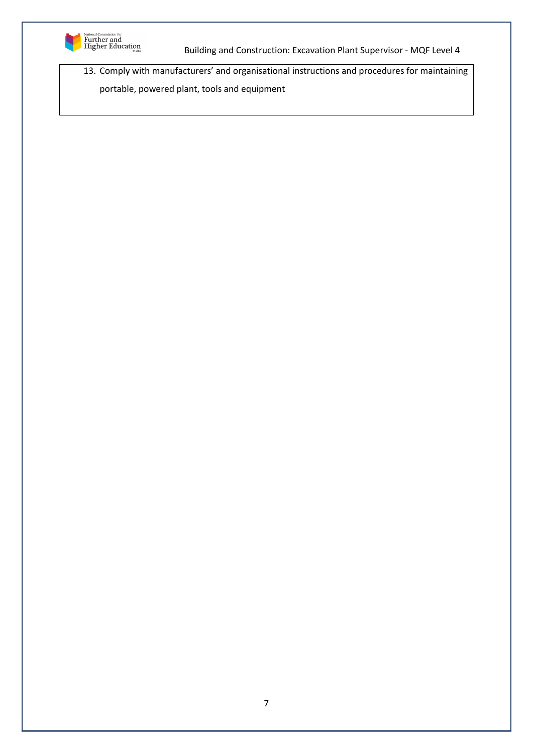

13. Comply with manufacturers' and organisational instructions and procedures for maintaining portable, powered plant, tools and equipment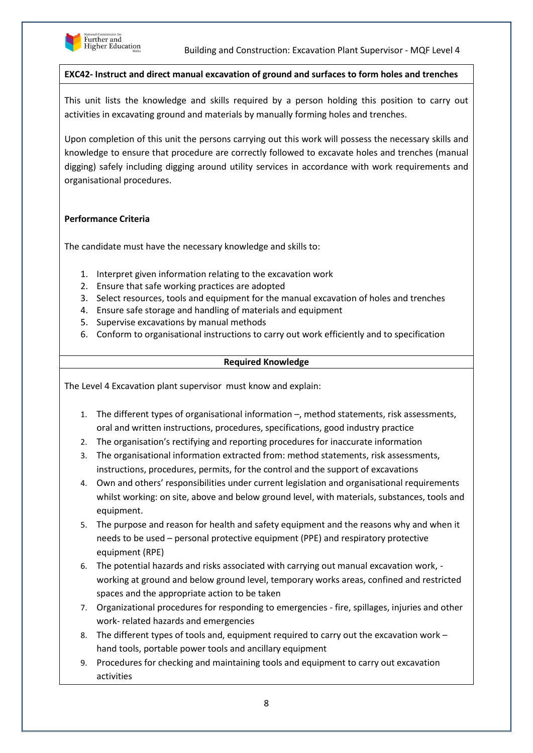

## **EXC42- Instruct and direct manual excavation of ground and surfaces to form holes and trenches**

This unit lists the knowledge and skills required by a person holding this position to carry out activities in excavating ground and materials by manually forming holes and trenches.

Upon completion of this unit the persons carrying out this work will possess the necessary skills and knowledge to ensure that procedure are correctly followed to excavate holes and trenches (manual digging) safely including digging around utility services in accordance with work requirements and organisational procedures.

# **Performance Criteria**

The candidate must have the necessary knowledge and skills to:

- 1. Interpret given information relating to the excavation work
- 2. Ensure that safe working practices are adopted
- 3. Select resources, tools and equipment for the manual excavation of holes and trenches
- 4. Ensure safe storage and handling of materials and equipment
- 5. Supervise excavations by manual methods
- 6. Conform to organisational instructions to carry out work efficiently and to specification

#### **Required Knowledge**

- 1. The different types of organisational information –, method statements, risk assessments, oral and written instructions, procedures, specifications, good industry practice
- 2. The organisation's rectifying and reporting procedures for inaccurate information
- 3. The organisational information extracted from: method statements, risk assessments, instructions, procedures, permits, for the control and the support of excavations
- 4. Own and others' responsibilities under current legislation and organisational requirements whilst working: on site, above and below ground level, with materials, substances, tools and equipment.
- 5. The purpose and reason for health and safety equipment and the reasons why and when it needs to be used – personal protective equipment (PPE) and respiratory protective equipment (RPE)
- 6. The potential hazards and risks associated with carrying out manual excavation work, working at ground and below ground level, temporary works areas, confined and restricted spaces and the appropriate action to be taken
- 7. Organizational procedures for responding to emergencies fire, spillages, injuries and other work- related hazards and emergencies
- 8. The different types of tools and, equipment required to carry out the excavation work hand tools, portable power tools and ancillary equipment
- 9. Procedures for checking and maintaining tools and equipment to carry out excavation activities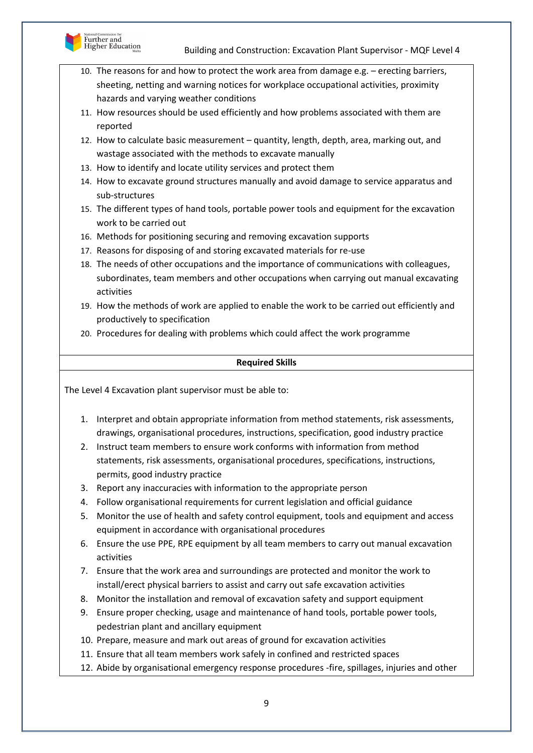

- 10. The reasons for and how to protect the work area from damage e.g.  $-$  erecting barriers, sheeting, netting and warning notices for workplace occupational activities, proximity hazards and varying weather conditions
- 11. How resources should be used efficiently and how problems associated with them are reported
- 12. How to calculate basic measurement quantity, length, depth, area, marking out, and wastage associated with the methods to excavate manually
- 13. How to identify and locate utility services and protect them
- 14. How to excavate ground structures manually and avoid damage to service apparatus and sub-structures
- 15. The different types of hand tools, portable power tools and equipment for the excavation work to be carried out
- 16. Methods for positioning securing and removing excavation supports
- 17. Reasons for disposing of and storing excavated materials for re-use
- 18. The needs of other occupations and the importance of communications with colleagues, subordinates, team members and other occupations when carrying out manual excavating activities
- 19. How the methods of work are applied to enable the work to be carried out efficiently and productively to specification
- 20. Procedures for dealing with problems which could affect the work programme

## **Required Skills**

- 1. Interpret and obtain appropriate information from method statements, risk assessments, drawings, organisational procedures, instructions, specification, good industry practice
- 2. Instruct team members to ensure work conforms with information from method statements, risk assessments, organisational procedures, specifications, instructions, permits, good industry practice
- 3. Report any inaccuracies with information to the appropriate person
- 4. Follow organisational requirements for current legislation and official guidance
- 5. Monitor the use of health and safety control equipment, tools and equipment and access equipment in accordance with organisational procedures
- 6. Ensure the use PPE, RPE equipment by all team members to carry out manual excavation activities
- 7. Ensure that the work area and surroundings are protected and monitor the work to install/erect physical barriers to assist and carry out safe excavation activities
- 8. Monitor the installation and removal of excavation safety and support equipment
- 9. Ensure proper checking, usage and maintenance of hand tools, portable power tools, pedestrian plant and ancillary equipment
- 10. Prepare, measure and mark out areas of ground for excavation activities
- 11. Ensure that all team members work safely in confined and restricted spaces
- 12. Abide by organisational emergency response procedures -fire, spillages, injuries and other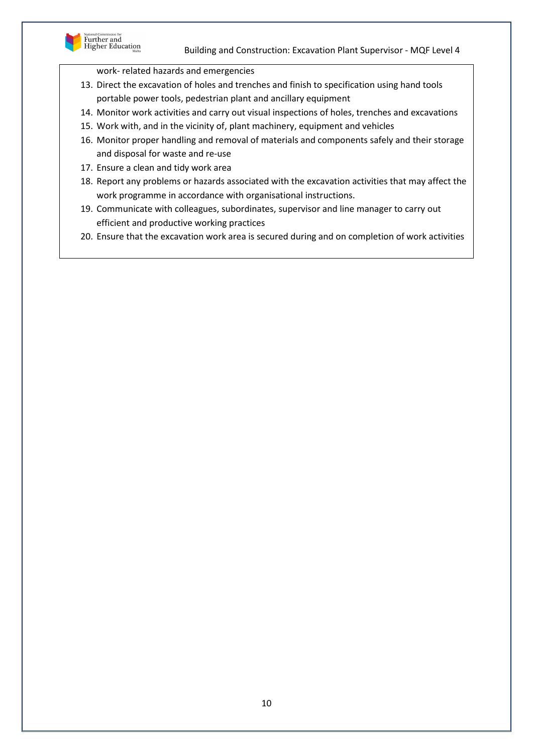

work- related hazards and emergencies

- 13. Direct the excavation of holes and trenches and finish to specification using hand tools portable power tools, pedestrian plant and ancillary equipment
- 14. Monitor work activities and carry out visual inspections of holes, trenches and excavations
- 15. Work with, and in the vicinity of, plant machinery, equipment and vehicles
- 16. Monitor proper handling and removal of materials and components safely and their storage and disposal for waste and re-use
- 17. Ensure a clean and tidy work area
- 18. Report any problems or hazards associated with the excavation activities that may affect the work programme in accordance with organisational instructions.
- 19. Communicate with colleagues, subordinates, supervisor and line manager to carry out efficient and productive working practices
- 20. Ensure that the excavation work area is secured during and on completion of work activities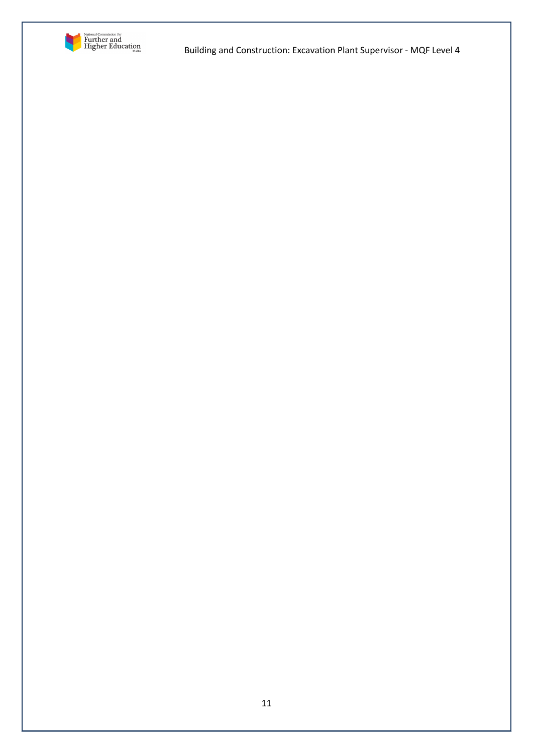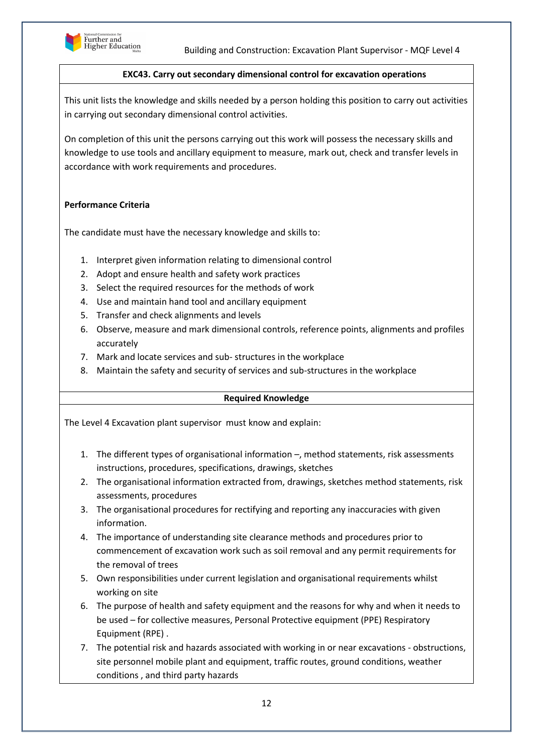

## **EXC43. Carry out secondary dimensional control for excavation operations**

This unit lists the knowledge and skills needed by a person holding this position to carry out activities in carrying out secondary dimensional control activities.

On completion of this unit the persons carrying out this work will possess the necessary skills and knowledge to use tools and ancillary equipment to measure, mark out, check and transfer levels in accordance with work requirements and procedures.

# **Performance Criteria**

The candidate must have the necessary knowledge and skills to:

- 1. Interpret given information relating to dimensional control
- 2. Adopt and ensure health and safety work practices
- 3. Select the required resources for the methods of work
- 4. Use and maintain hand tool and ancillary equipment
- 5. Transfer and check alignments and levels
- 6. Observe, measure and mark dimensional controls, reference points, alignments and profiles accurately
- 7. Mark and locate services and sub- structures in the workplace
- 8. Maintain the safety and security of services and sub-structures in the workplace

## **Required Knowledge**

- 1. The different types of organisational information –, method statements, risk assessments instructions, procedures, specifications, drawings, sketches
- 2. The organisational information extracted from, drawings, sketches method statements, risk assessments, procedures
- 3. The organisational procedures for rectifying and reporting any inaccuracies with given information.
- 4. The importance of understanding site clearance methods and procedures prior to commencement of excavation work such as soil removal and any permit requirements for the removal of trees
- 5. Own responsibilities under current legislation and organisational requirements whilst working on site
- 6. The purpose of health and safety equipment and the reasons for why and when it needs to be used – for collective measures, Personal Protective equipment (PPE) Respiratory Equipment (RPE) .
- 7. The potential risk and hazards associated with working in or near excavations obstructions, site personnel mobile plant and equipment, traffic routes, ground conditions, weather conditions , and third party hazards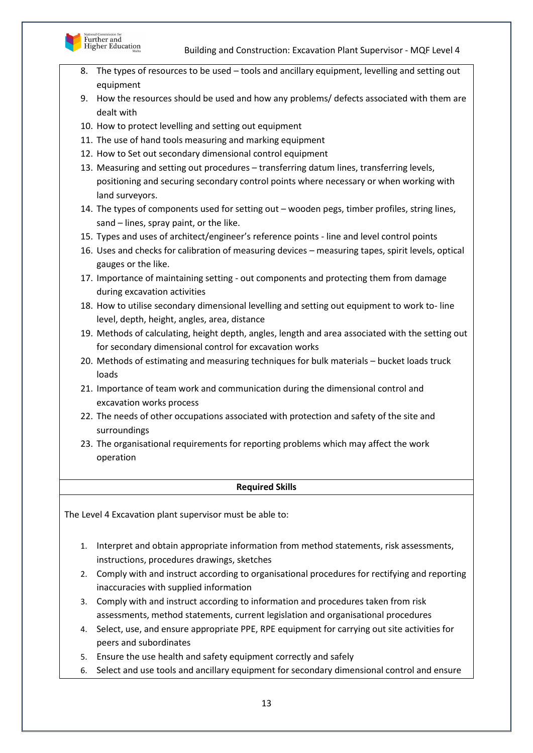

- 8. The types of resources to be used tools and ancillary equipment, levelling and setting out equipment
- 9. How the resources should be used and how any problems/ defects associated with them are dealt with
- 10. How to protect levelling and setting out equipment
- 11. The use of hand tools measuring and marking equipment
- 12. How to Set out secondary dimensional control equipment
- 13. Measuring and setting out procedures transferring datum lines, transferring levels, positioning and securing secondary control points where necessary or when working with land surveyors.
- 14. The types of components used for setting out wooden pegs, timber profiles, string lines, sand – lines, spray paint, or the like.
- 15. Types and uses of architect/engineer's reference points line and level control points
- 16. Uses and checks for calibration of measuring devices measuring tapes, spirit levels, optical gauges or the like.
- 17. Importance of maintaining setting out components and protecting them from damage during excavation activities
- 18. How to utilise secondary dimensional levelling and setting out equipment to work to- line level, depth, height, angles, area, distance
- 19. Methods of calculating, height depth, angles, length and area associated with the setting out for secondary dimensional control for excavation works
- 20. Methods of estimating and measuring techniques for bulk materials bucket loads truck loads
- 21. Importance of team work and communication during the dimensional control and excavation works process
- 22. The needs of other occupations associated with protection and safety of the site and surroundings
- 23. The organisational requirements for reporting problems which may affect the work operation

## **Required Skills**

- 1. Interpret and obtain appropriate information from method statements, risk assessments, instructions, procedures drawings, sketches
- 2. Comply with and instruct according to organisational procedures for rectifying and reporting inaccuracies with supplied information
- 3. Comply with and instruct according to information and procedures taken from risk assessments, method statements, current legislation and organisational procedures
- 4. Select, use, and ensure appropriate PPE, RPE equipment for carrying out site activities for peers and subordinates
- 5. Ensure the use health and safety equipment correctly and safely
- 6. Select and use tools and ancillary equipment for secondary dimensional control and ensure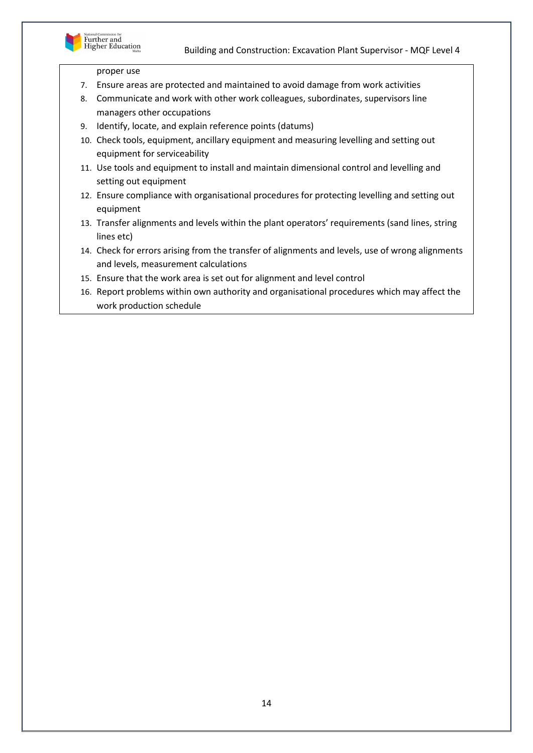

proper use

- 7. Ensure areas are protected and maintained to avoid damage from work activities
- 8. Communicate and work with other work colleagues, subordinates, supervisors line managers other occupations
- 9. Identify, locate, and explain reference points (datums)
- 10. Check tools, equipment, ancillary equipment and measuring levelling and setting out equipment for serviceability
- 11. Use tools and equipment to install and maintain dimensional control and levelling and setting out equipment
- 12. Ensure compliance with organisational procedures for protecting levelling and setting out equipment
- 13. Transfer alignments and levels within the plant operators' requirements (sand lines, string lines etc)
- 14. Check for errors arising from the transfer of alignments and levels, use of wrong alignments and levels, measurement calculations
- 15. Ensure that the work area is set out for alignment and level control
- 16. Report problems within own authority and organisational procedures which may affect the work production schedule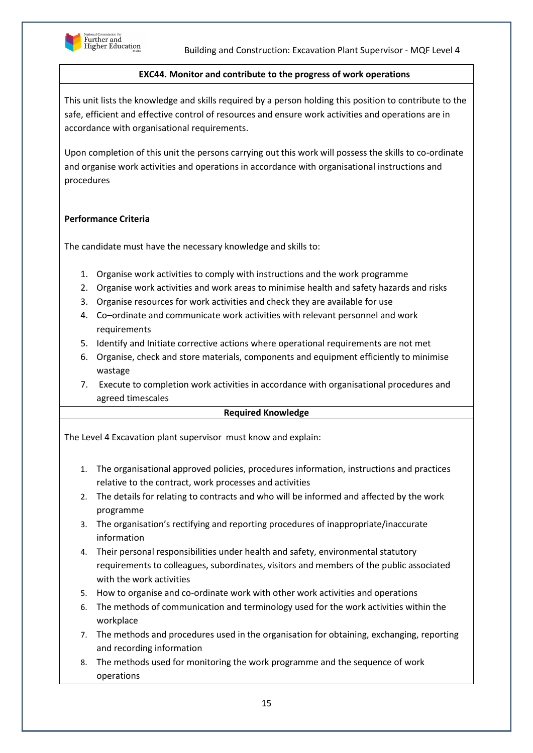

## **EXC44. Monitor and contribute to the progress of work operations**

This unit lists the knowledge and skills required by a person holding this position to contribute to the safe, efficient and effective control of resources and ensure work activities and operations are in accordance with organisational requirements.

Upon completion of this unit the persons carrying out this work will possess the skills to co-ordinate and organise work activities and operations in accordance with organisational instructions and procedures

## **Performance Criteria**

The candidate must have the necessary knowledge and skills to:

- 1. Organise work activities to comply with instructions and the work programme
- 2. Organise work activities and work areas to minimise health and safety hazards and risks
- 3. Organise resources for work activities and check they are available for use
- 4. Co–ordinate and communicate work activities with relevant personnel and work requirements
- 5. Identify and Initiate corrective actions where operational requirements are not met
- 6. Organise, check and store materials, components and equipment efficiently to minimise wastage
- 7. Execute to completion work activities in accordance with organisational procedures and agreed timescales

#### **Required Knowledge**

- 1. The organisational approved policies, procedures information, instructions and practices relative to the contract, work processes and activities
- 2. The details for relating to contracts and who will be informed and affected by the work programme
- 3. The organisation's rectifying and reporting procedures of inappropriate/inaccurate information
- 4. Their personal responsibilities under health and safety, environmental statutory requirements to colleagues, subordinates, visitors and members of the public associated with the work activities
- 5. How to organise and co-ordinate work with other work activities and operations
- 6. The methods of communication and terminology used for the work activities within the workplace
- 7. The methods and procedures used in the organisation for obtaining, exchanging, reporting and recording information
- 8. The methods used for monitoring the work programme and the sequence of work operations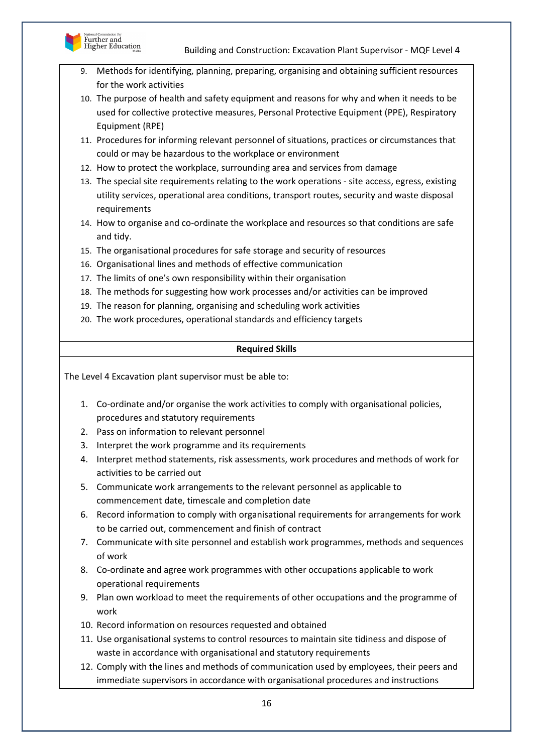

- 9. Methods for identifying, planning, preparing, organising and obtaining sufficient resources for the work activities
- 10. The purpose of health and safety equipment and reasons for why and when it needs to be used for collective protective measures, Personal Protective Equipment (PPE), Respiratory Equipment (RPE)
- 11. Procedures for informing relevant personnel of situations, practices or circumstances that could or may be hazardous to the workplace or environment
- 12. How to protect the workplace, surrounding area and services from damage
- 13. The special site requirements relating to the work operations site access, egress, existing utility services, operational area conditions, transport routes, security and waste disposal requirements
- 14. How to organise and co-ordinate the workplace and resources so that conditions are safe and tidy.
- 15. The organisational procedures for safe storage and security of resources
- 16. Organisational lines and methods of effective communication
- 17. The limits of one's own responsibility within their organisation
- 18. The methods for suggesting how work processes and/or activities can be improved
- 19. The reason for planning, organising and scheduling work activities
- 20. The work procedures, operational standards and efficiency targets

## **Required Skills**

- 1. Co-ordinate and/or organise the work activities to comply with organisational policies, procedures and statutory requirements
- 2. Pass on information to relevant personnel
- 3. Interpret the work programme and its requirements
- 4. Interpret method statements, risk assessments, work procedures and methods of work for activities to be carried out
- 5. Communicate work arrangements to the relevant personnel as applicable to commencement date, timescale and completion date
- 6. Record information to comply with organisational requirements for arrangements for work to be carried out, commencement and finish of contract
- 7. Communicate with site personnel and establish work programmes, methods and sequences of work
- 8. Co-ordinate and agree work programmes with other occupations applicable to work operational requirements
- 9. Plan own workload to meet the requirements of other occupations and the programme of work
- 10. Record information on resources requested and obtained
- 11. Use organisational systems to control resources to maintain site tidiness and dispose of waste in accordance with organisational and statutory requirements
- 12. Comply with the lines and methods of communication used by employees, their peers and immediate supervisors in accordance with organisational procedures and instructions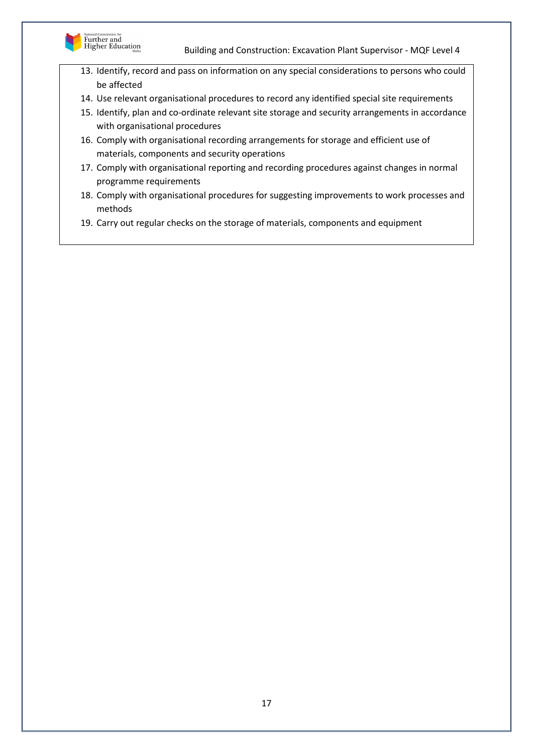

- 13. Identify, record and pass on information on any special considerations to persons who could be affected
- 14. Use relevant organisational procedures to record any identified special site requirements
- 15. Identify, plan and co-ordinate relevant site storage and security arrangements in accordance with organisational procedures
- 16. Comply with organisational recording arrangements for storage and efficient use of materials, components and security operations
- 17. Comply with organisational reporting and recording procedures against changes in normal programme requirements
- 18. Comply with organisational procedures for suggesting improvements to work processes and methods
- 19. Carry out regular checks on the storage of materials, components and equipment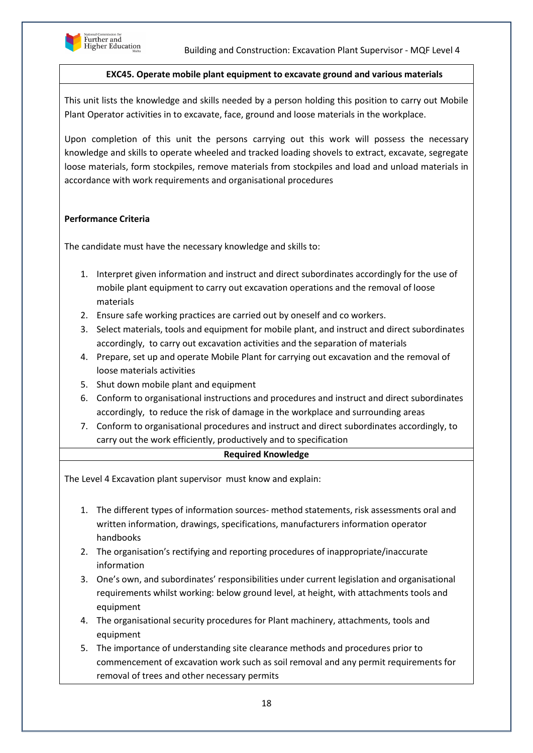

## **EXC45. Operate mobile plant equipment to excavate ground and various materials**

This unit lists the knowledge and skills needed by a person holding this position to carry out Mobile Plant Operator activities in to excavate, face, ground and loose materials in the workplace.

Upon completion of this unit the persons carrying out this work will possess the necessary knowledge and skills to operate wheeled and tracked loading shovels to extract, excavate, segregate loose materials, form stockpiles, remove materials from stockpiles and load and unload materials in accordance with work requirements and organisational procedures

# **Performance Criteria**

The candidate must have the necessary knowledge and skills to:

- 1. Interpret given information and instruct and direct subordinates accordingly for the use of mobile plant equipment to carry out excavation operations and the removal of loose materials
- 2. Ensure safe working practices are carried out by oneself and co workers.
- 3. Select materials, tools and equipment for mobile plant, and instruct and direct subordinates accordingly, to carry out excavation activities and the separation of materials
- 4. Prepare, set up and operate Mobile Plant for carrying out excavation and the removal of loose materials activities
- 5. Shut down mobile plant and equipment
- 6. Conform to organisational instructions and procedures and instruct and direct subordinates accordingly, to reduce the risk of damage in the workplace and surrounding areas
- 7. Conform to organisational procedures and instruct and direct subordinates accordingly, to carry out the work efficiently, productively and to specification

## **Required Knowledge**

- 1. The different types of information sources- method statements, risk assessments oral and written information, drawings, specifications, manufacturers information operator handbooks
- 2. The organisation's rectifying and reporting procedures of inappropriate/inaccurate information
- 3. One's own, and subordinates' responsibilities under current legislation and organisational requirements whilst working: below ground level, at height, with attachments tools and equipment
- 4. The organisational security procedures for Plant machinery, attachments, tools and equipment
- 5. The importance of understanding site clearance methods and procedures prior to commencement of excavation work such as soil removal and any permit requirements for removal of trees and other necessary permits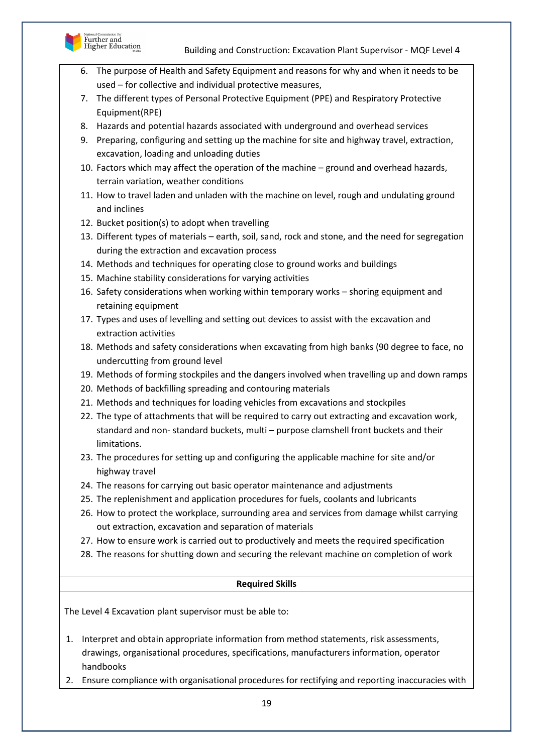

- 6. The purpose of Health and Safety Equipment and reasons for why and when it needs to be used – for collective and individual protective measures,
- 7. The different types of Personal Protective Equipment (PPE) and Respiratory Protective Equipment(RPE)
- 8. Hazards and potential hazards associated with underground and overhead services
- 9. Preparing, configuring and setting up the machine for site and highway travel, extraction, excavation, loading and unloading duties
- 10. Factors which may affect the operation of the machine ground and overhead hazards, terrain variation, weather conditions
- 11. How to travel laden and unladen with the machine on level, rough and undulating ground and inclines
- 12. Bucket position(s) to adopt when travelling
- 13. Different types of materials earth, soil, sand, rock and stone, and the need for segregation during the extraction and excavation process
- 14. Methods and techniques for operating close to ground works and buildings
- 15. Machine stability considerations for varying activities
- 16. Safety considerations when working within temporary works shoring equipment and retaining equipment
- 17. Types and uses of levelling and setting out devices to assist with the excavation and extraction activities
- 18. Methods and safety considerations when excavating from high banks (90 degree to face, no undercutting from ground level
- 19. Methods of forming stockpiles and the dangers involved when travelling up and down ramps
- 20. Methods of backfilling spreading and contouring materials
- 21. Methods and techniques for loading vehicles from excavations and stockpiles
- 22. The type of attachments that will be required to carry out extracting and excavation work, standard and non- standard buckets, multi – purpose clamshell front buckets and their limitations.
- 23. The procedures for setting up and configuring the applicable machine for site and/or highway travel
- 24. The reasons for carrying out basic operator maintenance and adjustments
- 25. The replenishment and application procedures for fuels, coolants and lubricants
- 26. How to protect the workplace, surrounding area and services from damage whilst carrying out extraction, excavation and separation of materials
- 27. How to ensure work is carried out to productively and meets the required specification
- 28. The reasons for shutting down and securing the relevant machine on completion of work

## **Required Skills**

- 1. Interpret and obtain appropriate information from method statements, risk assessments, drawings, organisational procedures, specifications, manufacturers information, operator handbooks
- 2. Ensure compliance with organisational procedures for rectifying and reporting inaccuracies with